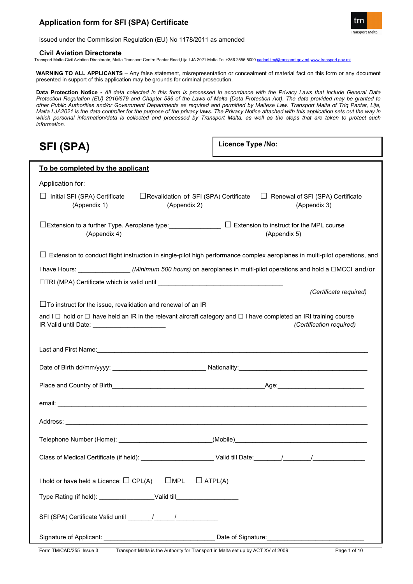

issued under the Commission Regulation (EU) No 1178/2011 as amended

## **Civil Aviation Directorate**

Transport Malta-Civil Aviation Directorate, Malta Transport Centre,Pantar Road,Lija LJA 2021 Malta.Tel:+356 2555 5000 [cadpel.tm@transport.gov.mt](mailto:cadpel.tm@transport.gov.mt) [www.transport.gov.mt](http://www.transport.gov.mt/)

**WARNING TO ALL APPLICANTS** – Any false statement, misrepresentation or concealment of material fact on this form or any document presented in support of this application may be grounds for criminal prosecution.

**Data Protection Notice -** *All data collected in this form is processed in accordance with the Privacy Laws that include General Data Protection Regulation (EU) 2016/679 and Chapter 586 of the Laws of Malta (Data Protection Act). The data provided may be granted to other Public Authorities and/or Government Departments as required and permitted by Maltese Law. Transport Malta of Triq Pantar, Lija, Malta LJA2021 is the data controller for the purpose of the privacy laws. The Privacy Notice attached with this application sets out the way in which personal information/data is collected and processed by Transport Malta, as well as the steps that are taken to protect such information.*

| <b>SFI (SPA)</b>                                                                                                                                                                                              | Licence Type /No:                                       |  |
|---------------------------------------------------------------------------------------------------------------------------------------------------------------------------------------------------------------|---------------------------------------------------------|--|
| To be completed by the applicant                                                                                                                                                                              |                                                         |  |
| Application for:                                                                                                                                                                                              |                                                         |  |
| $\Box$ Initial SFI (SPA) Certificate<br>□Revalidation of SFI (SPA) Certificate<br>(Appendix 2)<br>(Appendix 1)                                                                                                | $\Box$ Renewal of SFI (SPA) Certificate<br>(Appendix 3) |  |
| □Extension to a further Type. Aeroplane type: ______________ □ Extension to instruct for the MPL course<br>(Appendix 4)                                                                                       | (Appendix 5)                                            |  |
| $\Box$ Extension to conduct flight instruction in single-pilot high performance complex aeroplanes in multi-pilot operations, and                                                                             |                                                         |  |
| I have Hours: ________________(Minimum 500 hours) on aeroplanes in multi-pilot operations and hold a □MCCI and/or                                                                                             |                                                         |  |
|                                                                                                                                                                                                               | (Certificate required)                                  |  |
| $\Box$ To instruct for the issue, revalidation and renewal of an IR                                                                                                                                           |                                                         |  |
| and I $\Box$ hold or $\Box$ have held an IR in the relevant aircraft category and $\Box$ I have completed an IRI training course<br>(Certification required)<br>IR Valid until Date: ________________________ |                                                         |  |
|                                                                                                                                                                                                               |                                                         |  |
|                                                                                                                                                                                                               |                                                         |  |
|                                                                                                                                                                                                               |                                                         |  |
|                                                                                                                                                                                                               |                                                         |  |
|                                                                                                                                                                                                               |                                                         |  |
| Telephone Number (Home): ___________________________(Mobile)_____________________                                                                                                                             |                                                         |  |
|                                                                                                                                                                                                               |                                                         |  |
| $\square$ MPL<br>I hold or have held a Licence: $\Box$ CPL(A)<br>$\Box$ ATPL(A)                                                                                                                               |                                                         |  |
| Type Rating (if held): ______________________Valid till_________________________                                                                                                                              |                                                         |  |
|                                                                                                                                                                                                               |                                                         |  |
|                                                                                                                                                                                                               | Date of Signature: Date of Signature:                   |  |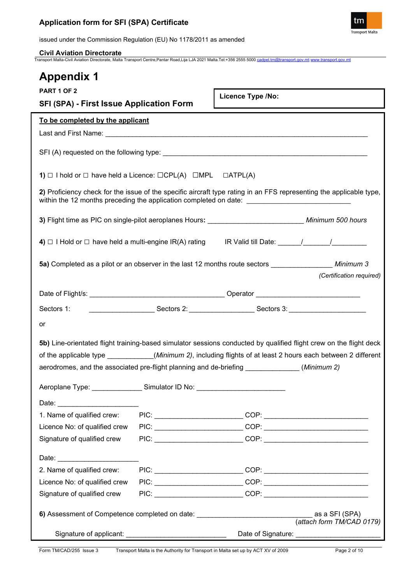

issued under the Commission Regulation (EU) No 1178/2011 as amended

**Civil Aviation Directorate** Transport Malta-Civil Aviation Directorate, Malta Transport Centre,Pantar Road,Lija LJA 2021 Malta.Tel:+356 2555 5000 [cadpel.tm@transport.gov.mt](mailto:cadpel.tm@transport.gov.mt) [www.transport.gov.mt](http://www.transport.gov.mt/)

| <b>Appendix 1</b>                                                                                                                                                                                                              |                                                                                                     |  |  |
|--------------------------------------------------------------------------------------------------------------------------------------------------------------------------------------------------------------------------------|-----------------------------------------------------------------------------------------------------|--|--|
| PART 1 OF 2<br><b>SFI (SPA) - First Issue Application Form</b>                                                                                                                                                                 | Licence Type /No:                                                                                   |  |  |
| To be completed by the applicant                                                                                                                                                                                               |                                                                                                     |  |  |
|                                                                                                                                                                                                                                |                                                                                                     |  |  |
|                                                                                                                                                                                                                                |                                                                                                     |  |  |
| 1) $\Box$ I hold or $\Box$ have held a Licence: $\Box$ CPL(A) $\Box$ MPL $\Box$ ATPL(A)                                                                                                                                        |                                                                                                     |  |  |
| 2) Proficiency check for the issue of the specific aircraft type rating in an FFS representing the applicable type,<br>within the 12 months preceding the application completed on date: _________________________________     |                                                                                                     |  |  |
| 3) Flight time as PIC on single-pilot aeroplanes Hours: _________________________________ Minimum 500 hours                                                                                                                    |                                                                                                     |  |  |
|                                                                                                                                                                                                                                |                                                                                                     |  |  |
| 5a) Completed as a pilot or an observer in the last 12 months route sectors _________________ Minimum 3                                                                                                                        | (Certification required)                                                                            |  |  |
|                                                                                                                                                                                                                                |                                                                                                     |  |  |
|                                                                                                                                                                                                                                |                                                                                                     |  |  |
| Sectors 1:                                                                                                                                                                                                                     | _________________________Sectors 2: _________________________Sectors 3: ___________________________ |  |  |
| or                                                                                                                                                                                                                             |                                                                                                     |  |  |
| 5b) Line-orientated flight training-based simulator sessions conducted by qualified flight crew on the flight deck                                                                                                             |                                                                                                     |  |  |
| of the applicable type _______________(Minimum 2), including flights of at least 2 hours each between 2 different                                                                                                              |                                                                                                     |  |  |
| aerodromes, and the associated pre-flight planning and de-briefing _____________(Minimum 2)                                                                                                                                    |                                                                                                     |  |  |
|                                                                                                                                                                                                                                |                                                                                                     |  |  |
| Aeroplane Type: Simulator ID No: Note that the Contract of the Contract of Seconds Aeroplane Contract of the C                                                                                                                 |                                                                                                     |  |  |
|                                                                                                                                                                                                                                |                                                                                                     |  |  |
| 1. Name of qualified crew:                                                                                                                                                                                                     |                                                                                                     |  |  |
| Licence No: of qualified crew                                                                                                                                                                                                  |                                                                                                     |  |  |
| Signature of qualified crew                                                                                                                                                                                                    |                                                                                                     |  |  |
| Date: the contract of the contract of the contract of the contract of the contract of the contract of the contract of the contract of the contract of the contract of the contract of the contract of the contract of the cont |                                                                                                     |  |  |
| 2. Name of qualified crew:                                                                                                                                                                                                     |                                                                                                     |  |  |
| Licence No: of qualified crew                                                                                                                                                                                                  |                                                                                                     |  |  |
| Signature of qualified crew                                                                                                                                                                                                    |                                                                                                     |  |  |
| 6) Assessment of Competence completed on date: _________________________________                                                                                                                                               | as a SFI (SPA)<br>(attach form TM/CAD 0179)                                                         |  |  |
|                                                                                                                                                                                                                                |                                                                                                     |  |  |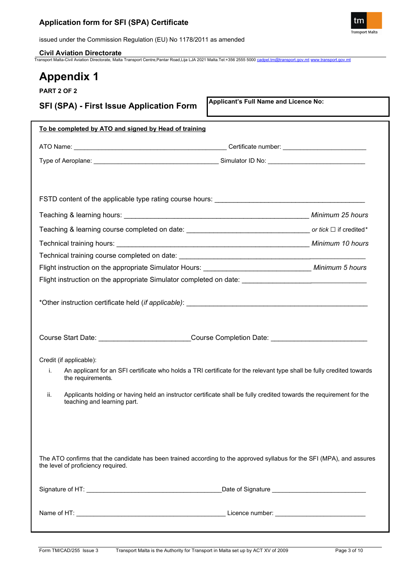

issued under the Commission Regulation (EU) No 1178/2011 as amended

**Civil Aviation Directorate** Transport Malta-Civil Aviation Directorate, Malta Transport Centre,Pantar Road,Lija LJA 2021 Malta.Tel:+356 2555 5000 [cadpel.tm@transport.gov.mt](mailto:cadpel.tm@transport.gov.mt) [www.transport.gov.mt](http://www.transport.gov.mt/)

# **Appendix 1**

| .                                                     |                                                                                                                        |
|-------------------------------------------------------|------------------------------------------------------------------------------------------------------------------------|
| <b>PART 2 OF 2</b>                                    |                                                                                                                        |
| <b>SFI (SPA) - First Issue Application Form</b>       | Applicant's Full Name and Licence No:                                                                                  |
| To be completed by ATO and signed by Head of training |                                                                                                                        |
|                                                       |                                                                                                                        |
|                                                       |                                                                                                                        |
|                                                       |                                                                                                                        |
|                                                       |                                                                                                                        |
|                                                       |                                                                                                                        |
|                                                       |                                                                                                                        |
|                                                       |                                                                                                                        |
|                                                       |                                                                                                                        |
|                                                       | Flight instruction on the appropriate Simulator completed on date: _________________________________                   |
|                                                       | Course Start Date: ___________________________Course Completion Date: _____________________________                    |
|                                                       |                                                                                                                        |
| Credit (if applicable):<br>i.<br>the requirements.    | An applicant for an SFI certificate who holds a TRI certificate for the relevant type shall be fully credited towards  |
| ii.<br>teaching and learning part.                    | Applicants holding or having held an instructor certificate shall be fully credited towards the requirement for the    |
| the level of proficiency required.                    | The ATO confirms that the candidate has been trained according to the approved syllabus for the SFI (MPA), and assures |
|                                                       |                                                                                                                        |

Name of HT: \_\_\_\_\_\_\_\_\_\_\_\_\_\_\_\_\_\_\_\_\_\_\_\_\_\_\_\_\_\_\_\_\_\_\_\_\_\_\_\_\_\_\_ Licence number: \_\_\_\_\_\_\_\_\_\_\_\_\_\_\_\_\_\_\_\_\_\_\_\_\_\_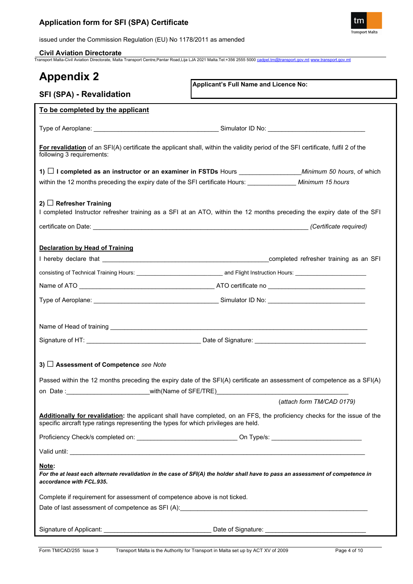

issued under the Commission Regulation (EU) No 1178/2011 as amended

**Civil Aviation Directorate** Transport Malta-Civil Aviation Directorate, Malta Transport Centre,Pantar Road,Lija LJA 2021 Malta.Tel:+356 2555 5000 [cadpel.tm@transport.gov.mt](mailto:cadpel.tm@transport.gov.mt) [www.transport.gov.mt](http://www.transport.gov.mt/)

| <b>Appendix 2</b><br>Applicant's Full Name and Licence No:                                                                                                                                                                          |  |  |  |
|-------------------------------------------------------------------------------------------------------------------------------------------------------------------------------------------------------------------------------------|--|--|--|
| SFI (SPA) - Revalidation                                                                                                                                                                                                            |  |  |  |
| To be completed by the applicant                                                                                                                                                                                                    |  |  |  |
|                                                                                                                                                                                                                                     |  |  |  |
| For revalidation of an SFI(A) certificate the applicant shall, within the validity period of the SFI certificate, fulfil 2 of the<br>following 3 requirements:                                                                      |  |  |  |
| 1) $\Box$ I completed as an instructor or an examiner in FSTDs Hours ___________________Minimum 50 hours, of which                                                                                                                  |  |  |  |
| within the 12 months preceding the expiry date of the SFI certificate Hours: _____________ Minimum 15 hours                                                                                                                         |  |  |  |
| 2) $\Box$ Refresher Training<br>I completed Instructor refresher training as a SFI at an ATO, within the 12 months preceding the expiry date of the SFI                                                                             |  |  |  |
| <b>Declaration by Head of Training</b>                                                                                                                                                                                              |  |  |  |
|                                                                                                                                                                                                                                     |  |  |  |
|                                                                                                                                                                                                                                     |  |  |  |
|                                                                                                                                                                                                                                     |  |  |  |
|                                                                                                                                                                                                                                     |  |  |  |
|                                                                                                                                                                                                                                     |  |  |  |
| 3) □ Assessment of Competence see Note<br>Passed within the 12 months preceding the expiry date of the SFI(A) certificate an assessment of competence as a SFI(A)                                                                   |  |  |  |
|                                                                                                                                                                                                                                     |  |  |  |
| (attach form TM/CAD 0179)                                                                                                                                                                                                           |  |  |  |
| Additionally for revalidation: the applicant shall have completed, on an FFS, the proficiency checks for the issue of the<br>specific aircraft type ratings representing the types for which privileges are held.                   |  |  |  |
|                                                                                                                                                                                                                                     |  |  |  |
| Valid until: <u>Communication</u> Contract Contract Contract Contract Contract Contract Contract Contract Contract Contract Contract Contract Contract Contract Contract Contract Contract Contract Contract Contract Contract Cont |  |  |  |
| Note:<br>For the at least each alternate revalidation in the case of SFI(A) the holder shall have to pass an assessment of competence in<br>accordance with FCL.935.                                                                |  |  |  |
| Complete if requirement for assessment of competence above is not ticked.                                                                                                                                                           |  |  |  |
|                                                                                                                                                                                                                                     |  |  |  |
|                                                                                                                                                                                                                                     |  |  |  |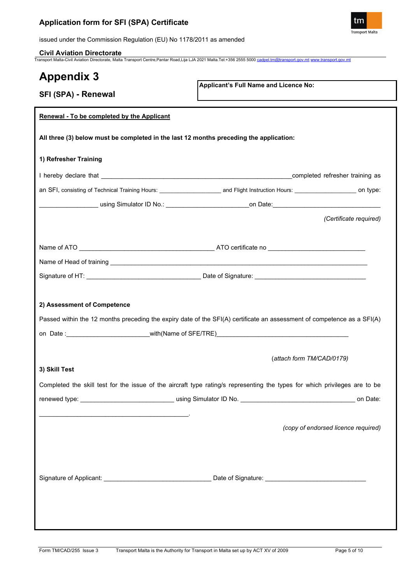

issued under the Commission Regulation (EU) No 1178/2011 as amended

**Civil Aviation Directorate** Transport Malta-Civil Aviation Directorate, Malta Transport Centre,Pantar Road,Lija LJA 2021 Malta.Tel:+356 2555 5000 [cadpel.tm@transport.gov.mt](mailto:cadpel.tm@transport.gov.mt) [www.transport.gov.mt](http://www.transport.gov.mt/)

| <b>Appendix 3</b>                          |                                                                                                                            |  |  |  |  |
|--------------------------------------------|----------------------------------------------------------------------------------------------------------------------------|--|--|--|--|
| SFI (SPA) - Renewal                        | Applicant's Full Name and Licence No:                                                                                      |  |  |  |  |
| Renewal - To be completed by the Applicant |                                                                                                                            |  |  |  |  |
|                                            |                                                                                                                            |  |  |  |  |
|                                            | All three (3) below must be completed in the last 12 months preceding the application:                                     |  |  |  |  |
| 1) Refresher Training                      |                                                                                                                            |  |  |  |  |
|                                            |                                                                                                                            |  |  |  |  |
|                                            |                                                                                                                            |  |  |  |  |
|                                            | _____________using Simulator ID No.: ___________________________on Date: ___________________________                       |  |  |  |  |
|                                            | (Certificate required)                                                                                                     |  |  |  |  |
|                                            |                                                                                                                            |  |  |  |  |
|                                            |                                                                                                                            |  |  |  |  |
|                                            |                                                                                                                            |  |  |  |  |
|                                            |                                                                                                                            |  |  |  |  |
| 2) Assessment of Competence                |                                                                                                                            |  |  |  |  |
|                                            | Passed within the 12 months preceding the expiry date of the SFI(A) certificate an assessment of competence as a SFI(A)    |  |  |  |  |
|                                            |                                                                                                                            |  |  |  |  |
|                                            | (attach form TM/CAD/0179)                                                                                                  |  |  |  |  |
| 3) Skill Test                              |                                                                                                                            |  |  |  |  |
|                                            | Completed the skill test for the issue of the aircraft type rating/s representing the types for which privileges are to be |  |  |  |  |
|                                            | on Date:                                                                                                                   |  |  |  |  |
|                                            |                                                                                                                            |  |  |  |  |
|                                            | (copy of endorsed licence required)                                                                                        |  |  |  |  |
|                                            |                                                                                                                            |  |  |  |  |
|                                            |                                                                                                                            |  |  |  |  |
|                                            |                                                                                                                            |  |  |  |  |
|                                            |                                                                                                                            |  |  |  |  |
|                                            |                                                                                                                            |  |  |  |  |
|                                            |                                                                                                                            |  |  |  |  |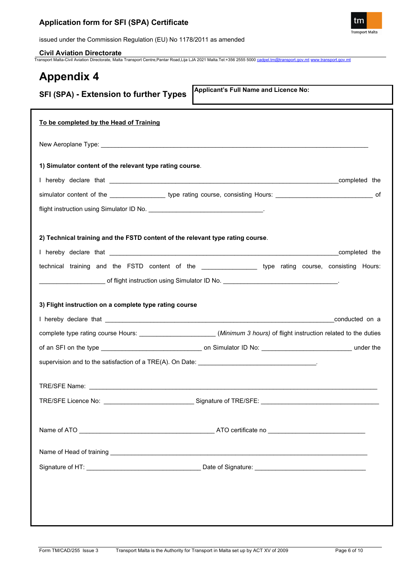

issued under the Commission Regulation (EU) No 1178/2011 as amended

**Civil Aviation Directorate** Transport Malta-Civil Aviation Directorate, Malta Transport Centre,Pantar Road,Lija LJA 2021 Malta.Tel:+356 2555 5000 [cadpel.tm@transport.gov.mt](mailto:cadpel.tm@transport.gov.mt) [www.transport.gov.mt](http://www.transport.gov.mt/)

# **Appendix 4**

| Applicant's Full Name and Licence No:<br><b>SFI (SPA) - Extension to further Types</b>                                   |
|--------------------------------------------------------------------------------------------------------------------------|
| To be completed by the Head of Training                                                                                  |
|                                                                                                                          |
| 1) Simulator content of the relevant type rating course.                                                                 |
|                                                                                                                          |
| simulator content of the ____________________ type rating course, consisting Hours: _________________________________ of |
|                                                                                                                          |
| 2) Technical training and the FSTD content of the relevant type rating course.                                           |
| technical training and the FSTD content of the _________________ type rating course, consisting Hours:                   |
|                                                                                                                          |
|                                                                                                                          |
| 3) Flight instruction on a complete type rating course                                                                   |
|                                                                                                                          |
| complete type rating course Hours: ________________________(Minimum 3 hours) of flight instruction related to the duties |
|                                                                                                                          |
|                                                                                                                          |
|                                                                                                                          |
|                                                                                                                          |
|                                                                                                                          |
|                                                                                                                          |
|                                                                                                                          |
|                                                                                                                          |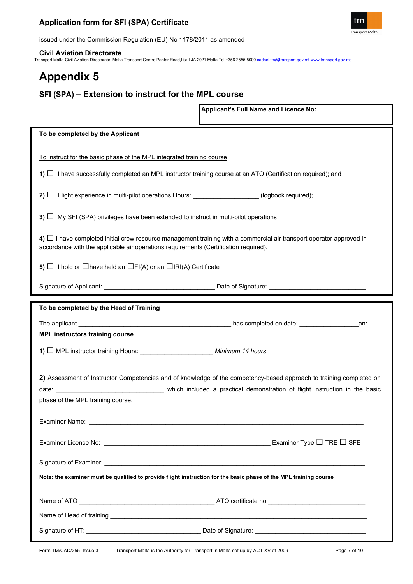

issued under the Commission Regulation (EU) No 1178/2011 as amended

**Civil Aviation Directorate** Transport Malta-Civil Aviation Directorate, Malta Transport Centre,Pantar Road,Lija LJA 2021 Malta.Tel:+356 2555 5000 [cadpel.tm@transport.gov.mt](mailto:cadpel.tm@transport.gov.mt) [www.transport.gov.mt](http://www.transport.gov.mt/)

# **Appendix 5**

## **SFI (SPA) – Extension to instruct for the MPL course**

|                                                                                                                                                                                                                   | Applicant's Full Name and Licence No: |  |
|-------------------------------------------------------------------------------------------------------------------------------------------------------------------------------------------------------------------|---------------------------------------|--|
| To be completed by the Applicant                                                                                                                                                                                  |                                       |  |
| To instruct for the basic phase of the MPL integrated training course                                                                                                                                             |                                       |  |
| 1) $\Box$ I have successfully completed an MPL instructor training course at an ATO (Certification required); and                                                                                                 |                                       |  |
| 2) $\Box$ Flight experience in multi-pilot operations Hours: _________________(logbook required);                                                                                                                 |                                       |  |
| 3) $\Box$ My SFI (SPA) privileges have been extended to instruct in multi-pilot operations                                                                                                                        |                                       |  |
| 4) $\Box$ I have completed initial crew resource management training with a commercial air transport operator approved in<br>accordance with the applicable air operations requirements (Certification required). |                                       |  |
| 5) $\Box$ I hold or $\Box$ have held an $\Box$ FI(A) or an $\Box$ IRI(A) Certificate                                                                                                                              |                                       |  |
|                                                                                                                                                                                                                   |                                       |  |
| To be completed by the Head of Training                                                                                                                                                                           |                                       |  |
| <b>MPL instructors training course</b>                                                                                                                                                                            |                                       |  |
| 1) I MPL instructor training Hours: Minimum 14 hours.                                                                                                                                                             |                                       |  |
| 2) Assessment of Instructor Competencies and of knowledge of the competency-based approach to training completed on<br>phase of the MPL training course.                                                          |                                       |  |
|                                                                                                                                                                                                                   |                                       |  |
| Examiner Licence No: $\_\_$                                                                                                                                                                                       |                                       |  |
|                                                                                                                                                                                                                   |                                       |  |
| Note: the examiner must be qualified to provide flight instruction for the basic phase of the MPL training course                                                                                                 |                                       |  |
|                                                                                                                                                                                                                   |                                       |  |
|                                                                                                                                                                                                                   |                                       |  |
|                                                                                                                                                                                                                   |                                       |  |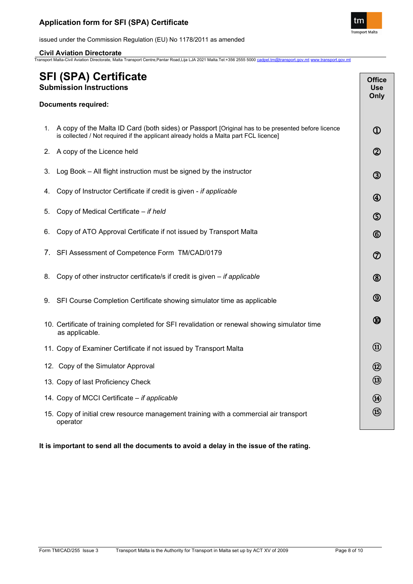

issued under the Commission Regulation (EU) No 1178/2011 as amended

**Civil Aviation Directorate** Transport Malta-Civil Aviation Directorate, Malta Transport Centre,Pantar Road,Lija LJA 2021 Malta.Tel:+356 2555 5000 [cadpel.tm@transport.gov.mt](mailto:cadpel.tm@transport.gov.mt) [www.transport.gov.mt](http://www.transport.gov.mt/)

| <b>SFI (SPA) Certificate</b><br><b>Submission Instructions</b> |                                                                                                                                                                                           | <b>Office</b><br><b>Use</b><br>Only |
|----------------------------------------------------------------|-------------------------------------------------------------------------------------------------------------------------------------------------------------------------------------------|-------------------------------------|
|                                                                | <b>Documents required:</b>                                                                                                                                                                |                                     |
| 1.                                                             | A copy of the Malta ID Card (both sides) or Passport [Original has to be presented before licence<br>is collected / Not required if the applicant already holds a Malta part FCL licence] | $\mathbf 0$                         |
| 2.                                                             | A copy of the Licence held                                                                                                                                                                | $^{\circledR}$                      |
| 3.                                                             | Log Book - All flight instruction must be signed by the instructor                                                                                                                        | $\circled{3}$                       |
| 4.                                                             | Copy of Instructor Certificate if credit is given - if applicable                                                                                                                         | $\bigcirc$                          |
| 5.                                                             | Copy of Medical Certificate - if held                                                                                                                                                     | $\circledS$                         |
| 6.                                                             | Copy of ATO Approval Certificate if not issued by Transport Malta                                                                                                                         | $^{\circledR}$                      |
| 7.                                                             | SFI Assessment of Competence Form TM/CAD/0179                                                                                                                                             | $\circledcirc$                      |
| 8.                                                             | Copy of other instructor certificate/s if credit is given $-$ if applicable                                                                                                               | $^{\circledR}$                      |
| 9.                                                             | SFI Course Completion Certificate showing simulator time as applicable                                                                                                                    | $\circledS$                         |
|                                                                | 10. Certificate of training completed for SFI revalidation or renewal showing simulator time<br>as applicable.                                                                            | $^{\circledR}$                      |
|                                                                | 11. Copy of Examiner Certificate if not issued by Transport Malta                                                                                                                         | $^{\circledR}$                      |
|                                                                | 12. Copy of the Simulator Approval                                                                                                                                                        | $^{\circledR}$                      |
|                                                                | 13. Copy of last Proficiency Check                                                                                                                                                        | $\circledR$                         |
|                                                                | 14. Copy of MCCI Certificate - if applicable                                                                                                                                              | $\circledR$                         |
|                                                                | 15. Copy of initial crew resource management training with a commercial air transport<br>operator                                                                                         | $\circledR$                         |

**It is important to send all the documents to avoid a delay in the issue of the rating.**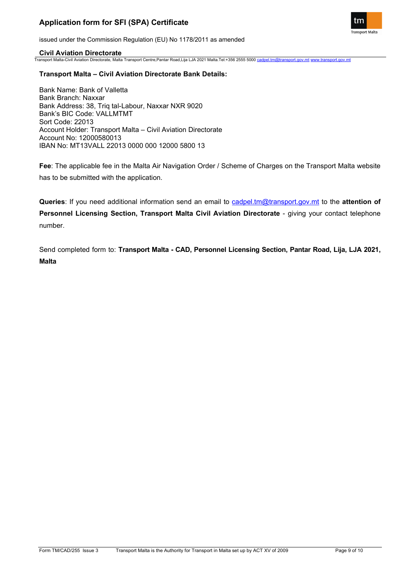

issued under the Commission Regulation (EU) No 1178/2011 as amended

## **Civil Aviation Directorate**

Transport Malta-Civil Aviation Directorate, Malta Transport Centre,Pantar Road,Lija LJA 2021 Malta.Tel:+356 2555 5000 [cadpel.tm@transport.gov.mt](mailto:cadpel.tm@transport.gov.mt) [www.transport.gov.mt](http://www.transport.gov.mt/)

## **Transport Malta – Civil Aviation Directorate Bank Details:**

Bank Name: Bank of Valletta Bank Branch: Naxxar Bank Address: 38, Triq tal-Labour, Naxxar NXR 9020 Bank's BIC Code: VALLMTMT Sort Code: 22013 Account Holder: Transport Malta – Civil Aviation Directorate Account No: 12000580013 IBAN No: MT13VALL 22013 0000 000 12000 5800 13

**Fee**: The applicable fee in the Malta Air Navigation Order / Scheme of Charges on the Transport Malta website has to be submitted with the application.

**Queries**: If you need additional information send an email to [cadpel.tm@transport.gov.mt](mailto:cadpel.tm@transport.gov.mt) to the **attention of Personnel Licensing Section, Transport Malta Civil Aviation Directorate** - giving your contact telephone number.

Send completed form to: **Transport Malta - CAD, Personnel Licensing Section, Pantar Road, Lija, LJA 2021, Malta**